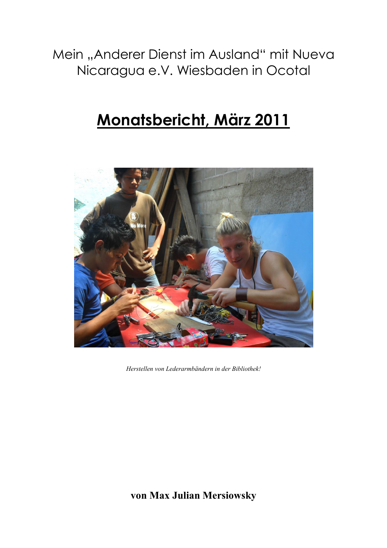Mein "Anderer Dienst im Ausland" mit Nueva Nicaragua e.V. Wiesbaden in Ocotal

# <u>Monatsbericht, März 2011</u>



*Herstellen von Lederarmbändern in der Bibliothek!* 

**von Max Julian Mersiowsky**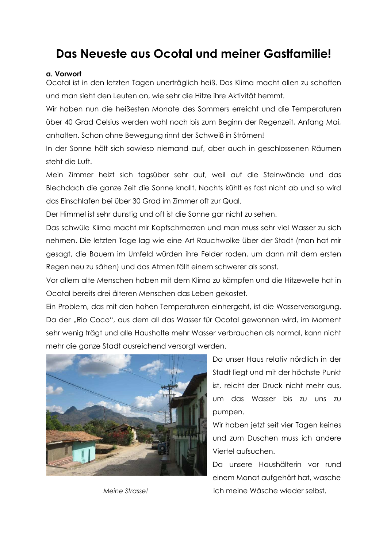# Das Neueste aus Ocotal und meiner Gastfamilie!

#### a. Vorwort

Ocotal ist in den letzten Tagen unerträglich heiß. Das Klima macht allen zu schaffen und man sieht den Leuten an, wie sehr die Hitze ihre Aktivität hemmt.

Wir haben nun die heißesten Monate des Sommers erreicht und die Temperaturen über 40 Grad Celsius werden wohl noch bis zum Beginn der Regenzeit, Anfang Mai, anhalten. Schon ohne Bewegung rinnt der Schweiß in Strömen!

In der Sonne hält sich sowieso niemand auf, aber auch in geschlossenen Räumen steht die Luft.

Mein Zimmer heizt sich tagsüber sehr auf, weil auf die Steinwände und das Blechdach die ganze Zeit die Sonne knallt. Nachts kühlt es fast nicht ab und so wird das Einschlafen bei über 30 Grad im Zimmer oft zur Qual.

Der Himmel ist sehr dunstig und oft ist die Sonne gar nicht zu sehen.

Das schwüle Klima macht mir Kopfschmerzen und man muss sehr viel Wasser zu sich nehmen. Die letzten Tage lag wie eine Art Rauchwolke über der Stadt (man hat mir gesagt, die Bauern im Umfeld würden ihre Felder roden, um dann mit dem ersten Regen neu zu sähen) und das Atmen fällt einem schwerer als sonst.

Vor allem alte Menschen haben mit dem Klima zu kämpfen und die Hitzewelle hat in Ocotal bereits drei älteren Menschen das Leben gekostet.

Ein Problem, das mit den hohen Temperaturen einhergeht, ist die Wasserversorgung. Da der "Rio Coco", aus dem all das Wasser für Ocotal gewonnen wird, im Moment sehr wenig trägt und alle Haushalte mehr Wasser verbrauchen als normal, kann nicht mehr die ganze Stadt ausreichend versorgt werden.



Meine Strasse!

Da unser Haus relativ nördlich in der Stadt liegt und mit der höchste Punkt ist, reicht der Druck nicht mehr aus, um das Wasser bis zu uns zu pumpen.

Wir haben jetzt seit vier Taaen keines und zum Duschen muss ich andere Viertel aufsuchen.

Da unsere Haushälterin vor rund einem Monat aufgehört hat, wasche ich meine Wäsche wieder selbst.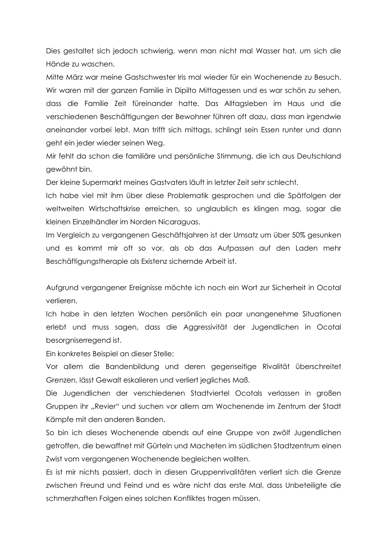Dies gestaltet sich jedoch schwierig, wenn man nicht mal Wasser hat, um sich die Hände zu waschen.

Mitte März war meine Gastschwester Iris mal wieder für ein Wochenende zu Besuch. Wir waren mit der ganzen Familie in Dipilto Mittagessen und es war schön zu sehen, dass die Familie Zeit füreinander hatte. Das Alltagsleben im Haus und die verschiedenen Beschäftigungen der Bewohner führen oft dazu, dass man irgendwie aneinander vorbei lebt. Man trifft sich mittags, schlingt sein Essen runter und dann geht ein jeder wieder seinen Weg.

Mir fehlt da schon die familiäre und persönliche Stimmung, die ich aus Deutschland aewöhnt bin.

Der kleine Supermarkt meines Gastvaters läuft in letzter Zeit sehr schlecht.

Ich habe viel mit ihm über diese Problematik gesprochen und die Spätfolgen der weltweiten Wirtschaftskrise erreichen, so unglaublich es klingen mag, sogar die kleinen Einzelhändler im Norden Nicaraguas.

Im Vergleich zu vergangenen Geschäftsjahren ist der Umsatz um über 50% gesunken und es kommt mir oft so vor, als ob das Aufpassen auf den Laden mehr Beschäftigungstherapie als Existenz sichernde Arbeit ist.

Aufgrund vergangener Ereignisse möchte ich noch ein Wort zur Sicherheit in Ocotal verlieren.

Ich habe in den letzten Wochen persönlich ein paar unangenehme Situationen erlebt und muss sagen, dass die Aggressivität der Jugendlichen in Ocotal besorgniserregend ist.

Ein konkretes Beispiel an dieser Stelle:

Vor allem die Bandenbildung und deren gegenseitige Rivalität überschreitet Grenzen, lässt Gewalt eskalieren und verliert jegliches Maß.

Die Jugendlichen der verschiedenen Stadtviertel Ocotals verlassen in großen Gruppen ihr "Revier" und suchen vor allem am Wochenende im Zentrum der Stadt Kämpfe mit den anderen Banden.

So bin ich dieses Wochenende abends auf eine Gruppe von zwölf Jugendlichen getroffen, die bewaffnet mit Gürteln und Macheten im südlichen Stadtzentrum einen Zwist vom vergangenen Wochenende begleichen wollten.

Es ist mir nichts passiert, doch in diesen Gruppenrivalitäten verliert sich die Grenze zwischen Freund und Feind und es wäre nicht das erste Mal, dass Unbeteiligte die schmerzhaften Folgen eines solchen Konfliktes tragen müssen.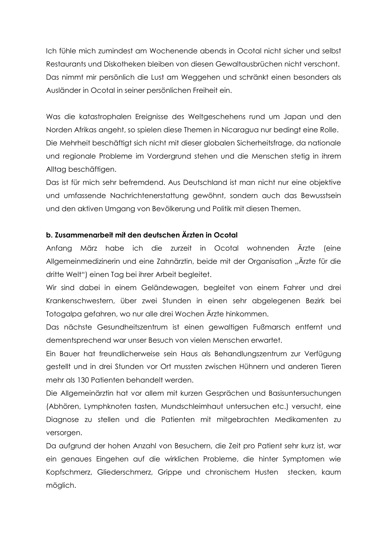Ich fühle mich zumindest am Wochenende abends in Ocotal nicht sicher und selbst Restaurants und Diskotheken bleiben von diesen Gewaltausbrüchen nicht verschont. Das nimmt mir persönlich die Lust am Weggehen und schränkt einen besonders als Ausländer in Ocotal in seiner persönlichen Freiheit ein.

Was die katastrophalen Ereignisse des Weltgeschehens rund um Japan und den Norden Afrikas angeht, so spielen diese Themen in Nicaragua nur bedingt eine Rolle. Die Mehrheit beschäftigt sich nicht mit dieser globalen Sicherheitsfrage, da nationale und regionale Probleme im Vordergrund stehen und die Menschen stetig in ihrem Alltaa beschäftigen.

Das ist für mich sehr befremdend. Aus Deutschland ist man nicht nur eine objektive und umfassende Nachrichtenerstattung gewöhnt, sondern auch das Bewusstsein und den aktiven Umgang von Bevölkerung und Politik mit diesen Themen.

## b. Zusammenarbeit mit den deutschen Ärzten in Ocotal

Anfang März habe ich die zurzeit in Ocotal wohnenden Ärzte (eine Allgemeinmedizinerin und eine Zahnärztin, beide mit der Organisation "Ärzte für die dritte Welt") einen Tag bei ihrer Arbeit begleitet.

Wir sind dabei in einem Geländewagen, begleitet von einem Fahrer und drei Krankenschwestern, über zwei Stunden in einen sehr abgelegenen Bezirk bei Totogalpa gefahren, wo nur alle drei Wochen Ärzte hinkommen.

Das nächste Gesundheitszentrum ist einen gewaltigen Fußmarsch entfernt und dementsprechend war unser Besuch von vielen Menschen erwartet.

Ein Bauer hat freundlicherweise sein Haus als Behandlungszentrum zur Verfügung gestellt und in drei Stunden vor Ort mussten zwischen Hühnern und anderen Tieren mehr als 130 Patienten behandelt werden.

Die Allgemeinärztin hat vor allem mit kurzen Gesprächen und Basisuntersuchungen (Abhören, Lymphknoten tasten, Mundschleimhaut untersuchen etc.) versucht, eine Diagnose zu stellen und die Patienten mit mitgebrachten Medikamenten zu versorgen.

Da aufgrund der hohen Anzahl von Besuchern, die Zeit pro Patient sehr kurz ist, war ein genaues Eingehen auf die wirklichen Probleme, die hinter Symptomen wie Kopfschmerz, Gliederschmerz, Grippe und chronischem Husten stecken, kaum möglich.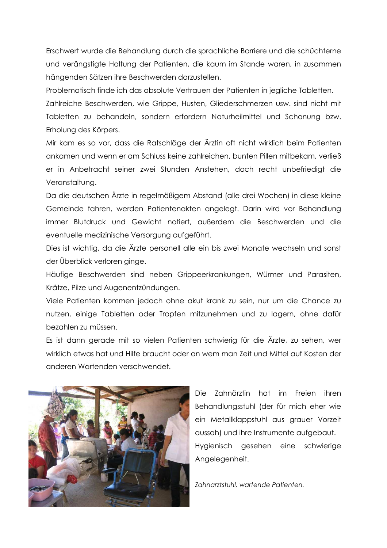Erschwert wurde die Behandlung durch die sprachliche Barriere und die schüchterne und verängstigte Haltung der Patienten, die kaum im Stande waren, in zusammen hängenden Sätzen ihre Beschwerden darzustellen.

Problematisch finde ich das absolute Vertrauen der Patienten in jegliche Tabletten. Zahlreiche Beschwerden, wie Grippe, Husten, Gliederschmerzen usw. sind nicht mit Tabletten zu behandeln, sondern erfordern Naturheilmittel und Schonung bzw. Erholung des Körpers.

Mir kam es so vor, dass die Ratschläge der Ärztin oft nicht wirklich beim Patienten ankamen und wenn er am Schluss keine zahlreichen, bunten Pillen mitbekam, verließ er in Anbetracht seiner zwei Stunden Anstehen, doch recht unbefriedigt die Veranstaltuna.

Da die deutschen Ärzte in regelmäßigem Abstand (alle drei Wochen) in diese kleine Gemeinde fahren, werden Patientenakten angelegt. Darin wird vor Behandlung immer Blutdruck und Gewicht notiert, außerdem die Beschwerden und die eventuelle medizinische Versorgung aufgeführt.

Dies ist wichtig, da die Ärzte personell alle ein bis zwei Monate wechseln und sonst der Überblick verloren ginge.

Häufige Beschwerden sind neben Grippeerkrankungen, Würmer und Parasiten, Krätze, Pilze und Augenentzündungen.

Viele Patienten kommen jedoch ohne akut krank zu sein, nur um die Chance zu nutzen, einige Tabletten oder Tropfen mitzunehmen und zu lagern, ohne dafür bezahlen zu müssen.

Es ist dann gerade mit so vielen Patienten schwierig für die Ärzte, zu sehen, wer wirklich etwas hat und Hilfe braucht oder an wem man Zeit und Mittel auf Kosten der anderen Wartenden verschwendet.



Die Zahnärztin hat im Freien ihren Behandlungsstuhl (der für mich eher wie ein Metallklappstuhl aus grauer Vorzeit aussah) und ihre Instrumente aufgebaut. Hygienisch gesehen eine schwierige Angelegenheit.

Zahnarztstuhl, wartende Patienten.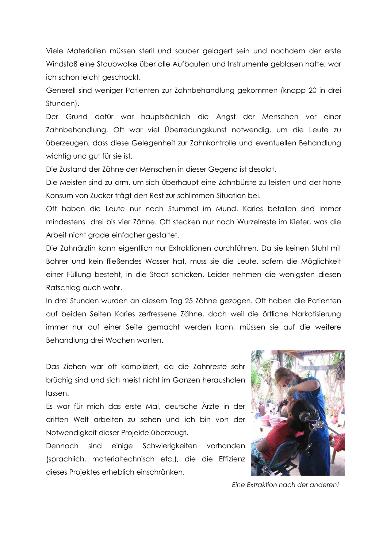Viele Materialien müssen steril und sauber gelagert sein und nachdem der erste Windstoß eine Staubwolke über alle Aufbauten und Instrumente geblasen hatte, war ich schon leicht geschockt.

Generell sind weniger Patienten zur Zahnbehandlung gekommen (knapp 20 in drei Stunden).

Der Grund dafür war hauptsächlich die Angst der Menschen vor einer Zahnbehandlung. Oft war viel Überredungskunst notwendig, um die Leute zu überzeugen, dass diese Gelegenheit zur Zahnkontrolle und eventuellen Behandlung wichtig und gut für sie ist.

Die Zustand der Zähne der Menschen in dieser Gegend ist desolat.

Die Meisten sind zu arm, um sich überhaupt eine Zahnbürste zu leisten und der hohe Konsum von Zucker trägt den Rest zur schlimmen Situation bei.

Oft haben die Leute nur noch Stummel im Mund. Karies befallen sind immer mindestens drei bis vier Zähne. Oft stecken nur noch Wurzelreste im Kiefer, was die Arbeit nicht grade einfacher gestaltet.

Die Zahnärztin kann eigentlich nur Extraktionen durchführen. Da sie keinen Stuhl mit Bohrer und kein fließendes Wasser hat, muss sie die Leute, sofern die Möglichkeit einer Füllung besteht, in die Stadt schicken. Leider nehmen die wenigsten diesen Ratschlag auch wahr.

In drei Stunden wurden an diesem Tag 25 Zähne gezogen. Oft haben die Patienten auf beiden Seiten Karies zerfressene Zähne, doch weil die örtliche Narkotisierung immer nur auf einer Seite gemacht werden kann, müssen sie auf die weitere Behandlung drei Wochen warten.

Das Ziehen war oft kompliziert, da die Zahnreste sehr brüchig sind und sich meist nicht im Ganzen herausholen lassen.

Es war für mich das erste Mal, deutsche Ärzte in der dritten Welt arbeiten zu sehen und ich bin von der Notwendigkeit dieser Projekte überzeugt.

Dennoch sind einige Schwierigkeiten vorhanden (sprachlich, materialtechnisch etc.), die die Effizienz dieses Projektes erheblich einschränken.



Eine Extraktion nach der anderen!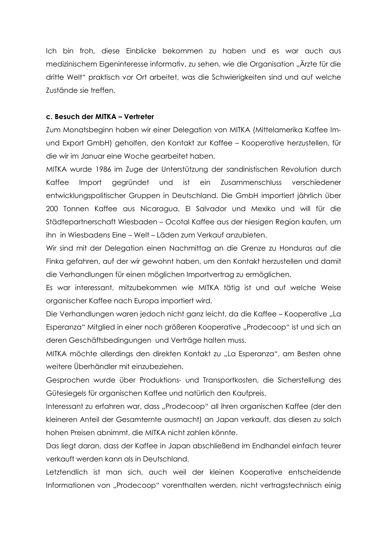Ich bin froh, diese Einblicke bekommen zu haben und es war auch aus medizinischem Eigeninteresse informativ, zu sehen, wie die Organisation "Ärzte für die dritte Welt" praktisch vor Ort arbeitet, was die Schwierigkeiten sind und auf welche Zustände sie treffen

### c. Besuch der MITKA - Vertreter

Zum Monatsbeginn haben wir einer Delegation von MITKA (Mittelamerika Kaffee Imund Export GmbH) geholfen, den Kontakt zur Kaffee – Kooperative herzustellen, für die wir im Januar eine Woche gearbeitet haben.

MITKA wurde 1986 im Zuge der Unterstützung der sandinistischen Revolution durch Kaffee Import gegründet und ist ein Zusammenschluss verschiedener entwicklungspolitischer Gruppen in Deutschland. Die GmbH importiert jährlich über 200 Tonnen Kaffee aus Nicaragua, El Salvador und Mexiko und will für die Städtepartnerschaft Wiesbaden - Ocotal Kaffee aus der hiesigen Region kaufen, um ihn in Wiesbadens Eine – Welt – Läden zum Verkauf anzubieten.

Wir sind mit der Delegation einen Nachmittag an die Grenze zu Honduras auf die Finka gefahren, auf der wir gewohnt haben, um den Kontakt herzustellen und damit die Verhandlungen für einen möglichen Importvertrag zu ermöglichen.

Es war interessant, mitzubekommen wie MITKA tätig ist und auf welche Weise organischer Kaffee nach Europa importiert wird.

Die Verhandlungen waren jedoch nicht ganz leicht, da die Kaffee – Kooperative "La Esperanza" Mitglied in einer noch größeren Kooperative "Prodecoop" ist und sich an deren Geschäftsbedingungen und Verträge halten muss.

MITKA möchte allerdinas den direkten Kontakt zu "La Esperanza", am Besten ohne weitere Überhändler mit einzubeziehen.

Gesprochen wurde über Produktions- und Transportkosten, die Sicherstellung des Gütesiegels für organischen Kaffee und natürlich den Kaufpreis.

Interessant zu erfahren war, dass "Prodecoop" all ihren organischen Kaffee (der den kleineren Anteil der Gesamternte ausmacht) an Japan verkauft, das diesen zu solch hohen Preisen abnimmt, die MITKA nicht zahlen könnte.

Das liegt daran, dass der Kaffee in Japan abschließend im Endhandel einfach teurer verkauft werden kann als in Deutschland.

Letztendlich ist man sich, auch weil der kleinen Kooperative entscheidende Informationen von "Prodecoop" vorenthalten werden, nicht vertragstechnisch einig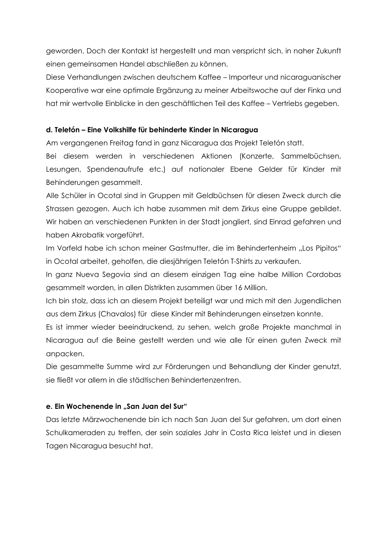geworden. Doch der Kontakt ist hergestellt und man verspricht sich, in naher Zukunft einen gemeinsamen Handel abschließen zu können.

Diese Verhandlungen zwischen deutschem Kaffee – Importeur und nicaraguanischer Kooperative war eine optimale Ergänzung zu meiner Arbeitswoche auf der Finka und hat mir wertvolle Einblicke in den geschäftlichen Teil des Kaffee – Vertriebs gegeben.

# d. Teletón – Eine Volkshilfe für behinderte Kinder in Nicaragua

Am vergangenen Freitag fand in ganz Nicaragua das Projekt Teletón statt.

Bei diesem werden in verschiedenen Aktionen (Konzerte, Sammelbüchsen, Lesungen, Spendengufrufe etc.) guf nationaler Ebene Gelder für Kinder mit Behinderungen gesammelt.

Alle Schüler in Ocotal sind in Gruppen mit Geldbüchsen für diesen Zweck durch die Strassen gezogen. Auch ich habe zusammen mit dem Zirkus eine Gruppe gebildet. Wir haben an verschiedenen Punkten in der Stadt jongliert, sind Einrad gefahren und haben Akrobatik vorgeführt.

Im Vorfeld habe ich schon meiner Gastmutter, die im Behindertenheim "Los Pipitos" in Ocotal arbeitet, geholfen, die diesjährigen Teletón T-Shirts zu verkaufen.

In ganz Nueva Segovia sind an diesem einzigen Tag eine halbe Million Cordobas gesammelt worden, in allen Distrikten zusammen über 16 Million.

Ich bin stolz, dass ich an diesem Projekt beteiligt war und mich mit den Jugendlichen aus dem Zirkus (Chavalos) für diese Kinder mit Behinderungen einsetzen konnte.

Es ist immer wieder beeindruckend, zu sehen, welch große Projekte manchmal in Nicaragua auf die Beine gestellt werden und wie alle für einen guten Zweck mit anpacken.

Die gesammelte Summe wird zur Förderungen und Behandlung der Kinder genutzt, sie fließt vor allem in die städtischen Behindertenzentren.

## e. Ein Wochenende in "San Juan del Sur"

Das letzte Märzwochenende bin ich nach San Juan del Sur gefahren, um dort einen Schulkameraden zu treffen, der sein soziales Jahr in Costa Rica leistet und in diesen Tagen Nicaragua besucht hat.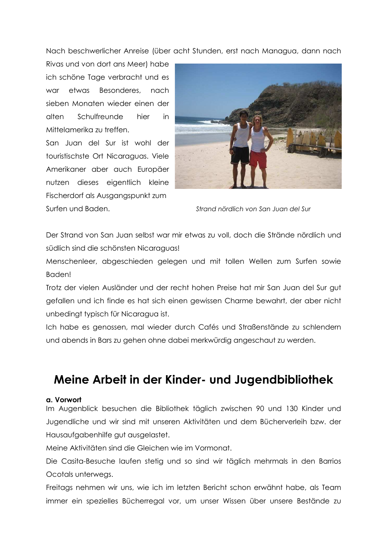Nach beschwerlicher Anreise (über acht Stunden, erst nach Managua, dann nach

Rivas und von dort ans Meer) habe ich schöne Tage verbracht und es war etwas Besonderes nach sieben Monaten wieder einen der Schulfreunde alten hier  $in$ Mittelamerika zu treffen.

San Juan del Sur ist wohl der touristischste Ort Nicaraguas. Viele Amerikaner aber auch Europäer nutzen dieses eigentlich kleine Fischerdorf als Ausgangspunkt zum Surfen und Baden.



Strand nördlich von San Juan del Sur

Der Strand von San Juan selbst war mir etwas zu voll, doch die Strände nördlich und südlich sind die schönsten Nicaraguas!

Menschenleer, abgeschieden gelegen und mit tollen Wellen zum Surfen sowie Baden!

Trotz der vielen Ausländer und der recht hohen Preise hat mir San Juan del Sur gut gefallen und ich finde es hat sich einen gewissen Charme bewahrt, der aber nicht unbedingt typisch für Nicaragua ist.

Ich habe es genossen, mal wieder durch Cafés und Straßenstände zu schlendern und abends in Bars zu gehen ohne dabei merkwürdig angeschaut zu werden.

# Meine Arbeit in der Kinder- und Jugendbibliothek

#### a. Vorwort

Im Augenblick besuchen die Bibliothek täglich zwischen 90 und 130 Kinder und Jugendliche und wir sind mit unseren Aktivitäten und dem Bücherverleih bzw. der Hausaufgabenhilfe gut ausgelastet.

Meine Aktivitäten sind die Gleichen wie im Vormonat.

Die Casita-Besuche laufen stetig und so sind wir täglich mehrmals in den Barrios Ocotals unterwegs.

Freitags nehmen wir uns, wie ich im letzten Bericht schon erwähnt habe, als Team immer ein spezielles Bücherregal vor, um unser Wissen über unsere Bestände zu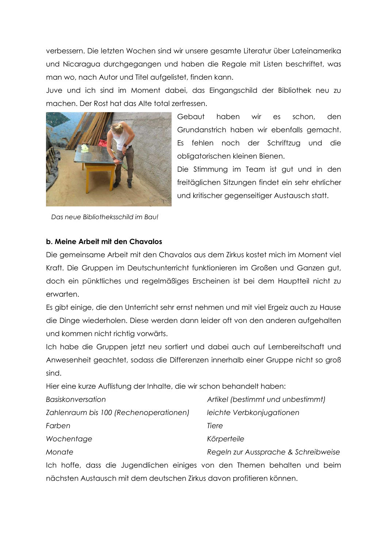verbessern. Die letzten Wochen sind wir unsere gesamte Literatur über Lateinamerika und Nicaragua durchgegangen und haben die Regale mit Listen beschriftet, was man wo, nach Autor und Titel aufgelistet, finden kann.

Juve und ich sind im Moment dabei, das Eingangschild der Bibliothek neu zu machen. Der Rost hat das Alte total zerfressen.



Das neue Bibliotheksschild im Bau!

Gebaut haben wir es schon, den Grundanstrich haben wir ebenfalls gemacht. Es fehlen noch der Schriftzug und die obligatorischen kleinen Bienen.

Die Stimmung im Team ist aut und in den freitäglichen Sitzungen findet ein sehr ehrlicher und kritischer gegenseitiger Austausch statt.

## b. Meine Arbeit mit den Chavalos

Die gemeinsame Arbeit mit den Chavalos aus dem Zirkus kostet mich im Moment viel Kraft. Die Gruppen im Deutschunterricht funktionieren im Großen und Ganzen gut, doch ein pünktliches und regelmäßiges Erscheinen ist bei dem Hauptteil nicht zu erwarten.

Es gibt einige, die den Unterricht sehr ernst nehmen und mit viel Ergeiz auch zu Hause die Dinge wiederholen. Diese werden dann leider oft von den anderen aufgehalten und kommen nicht richtig vorwärts.

Ich habe die Gruppen jetzt neu sortiert und dabei auch auf Lernbereitschaft und Anwesenheit geachtet, sodass die Differenzen innerhalb einer Gruppe nicht so groß sind.

Hier eine kurze Auflistung der Inhalte, die wir schon behandelt haben:

nächsten Austausch mit dem deutschen Zirkus davon profitieren können.

| <b>Basiskonversation</b>                                                  | Artikel (bestimmt und unbestimmt)    |
|---------------------------------------------------------------------------|--------------------------------------|
| Zahlenraum bis 100 (Rechenoperationen)                                    | leichte Verbkonjugationen            |
| Farben                                                                    | Tiere                                |
| Wochentage                                                                | Körperteile                          |
| Monate                                                                    | Regeln zur Aussprache & Schreibweise |
| Ich hoffe, dass die Jugendlichen einiges von den Themen behalten und beim |                                      |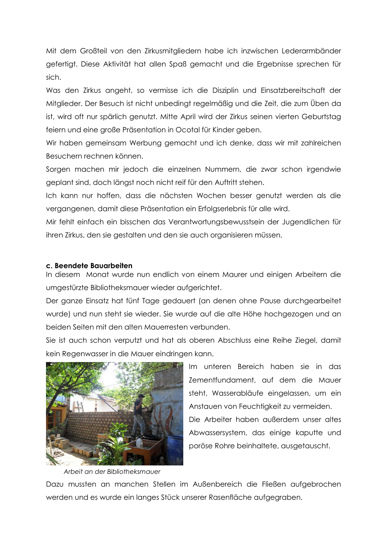Mit dem Großteil von den Zirkusmitgliedern habe ich inzwischen Lederarmbänder gefertigt. Diese Aktivität hat allen Spaß gemacht und die Ergebnisse sprechen für sich.

Was den Zirkus angeht, so vermisse ich die Disziplin und Einsatzbereitschaft der Mitglieder. Der Besuch ist nicht unbedingt regelmäßig und die Zeit, die zum Üben da ist, wird oft nur spärlich genutzt. Mitte April wird der Zirkus seinen vierten Geburtstag feiern und eine große Präsentation in Ocotal für Kinder geben.

Wir haben gemeinsam Werbung gemacht und ich denke, dass wir mit zahlreichen Besuchern rechnen können.

Sorgen machen mir jedoch die einzelnen Nummern, die zwar schon irgendwie geplant sind, doch längst noch nicht reif für den Auftritt stehen.

Ich kann nur hoffen, dass die nächsten Wochen besser genutzt werden als die vergangenen, damit diese Präsentation ein Erfolgserlebnis für alle wird.

Mir fehlt einfach ein bisschen das Verantwortungsbewusstsein der Jugendlichen für ihren Zirkus, den sie gestalten und den sie auch organisieren müssen.

#### c. Beendete Bauarbeiten

In diesem Monat wurde nun endlich von einem Maurer und einigen Arbeitern die umgestürzte Bibliotheksmauer wieder aufgerichtet.

Der ganze Einsatz hat fünf Tage gedauert (an denen ohne Pause durchgearbeitet wurde) und nun steht sie wieder. Sie wurde auf die alte Höhe hochgezogen und an beiden Seiten mit den alten Mauerresten verbunden.

Sie ist auch schon verputzt und hat als oberen Abschluss eine Reihe Ziegel, damit kein Regenwasser in die Mauer eindringen kann.



Arbeit an der Bibliotheksmauer

Im unteren Bereich haben sie in das Zementfundament, auf dem die Mauer steht, Wasserabläufe eingelassen, um ein Anstauen von Feuchtigkeit zu vermeiden.

Die Arbeiter haben außerdem unser altes Abwassersystem, das einige kaputte und poröse Rohre beinhaltete, ausgetauscht.

Dazu mussten an manchen Stellen im Außenbereich die Fließen aufgebrochen werden und es wurde ein langes Stück unserer Rasenfläche aufgegraben.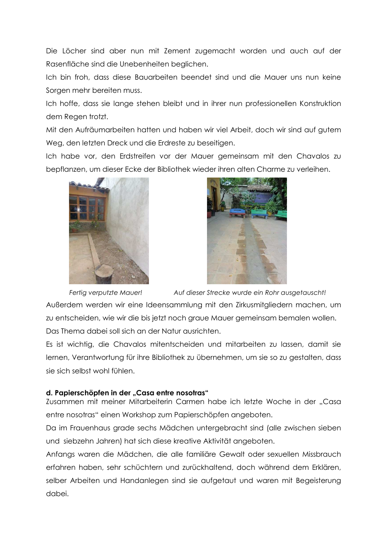Die Löcher sind aber nun mit Zement zugemacht worden und auch auf der Rasenfläche sind die Unebenheiten bealichen.

Ich bin froh. dass diese Bauarbeiten beendet sind und die Mauer uns nun keine Sorgen mehr bereiten muss.

Ich hoffe, dass sie lange stehen bleibt und in ihrer nun professionellen Konstruktion dem Regen trotzt.

Mit den Aufräumarbeiten hatten und haben wir viel Arbeit, doch wir sind auf gutem Weg, den letzten Dreck und die Erdreste zu beseitigen.

Ich habe vor, den Erdstreifen vor der Mauer gemeinsam mit den Chavalos zu bepflanzen, um dieser Ecke der Bibliothek wieder ihren alten Charme zu verleihen.





Fertig verputzte Mauer! Auf dieser Strecke wurde ein Rohr ausgetauscht! Außerdem werden wir eine Ideensammlung mit den Zirkusmitgliedern machen, um zu entscheiden, wie wir die bis jetzt noch graue Mauer gemeinsam bemalen wollen. Das Thema dabei soll sich an der Natur ausrichten.

Es ist wichtig, die Chavalos mitentscheiden und mitarbeiten zu lassen, damit sie lernen, Verantwortung für ihre Bibliothek zu übernehmen, um sie so zu gestalten, dass sie sich selbst wohl fühlen.

# d. Papierschöpfen in der "Casa entre nosotras"

Zusammen mit meiner Mitarbeiterin Carmen habe ich letzte Woche in der "Casa entre nosotras" einen Workshop zum Papierschöpfen angeboten.

Da im Frauenhaus grade sechs Mädchen untergebracht sind (alle zwischen sieben und siebzehn Jahren) hat sich diese kreative Aktivität angeboten.

Anfangs waren die Mädchen, die alle familiäre Gewalt oder sexuellen Missbrauch erfahren haben, sehr schüchtern und zurückhaltend, doch während dem Erklären, selber Arbeiten und Handanlegen sind sie aufgetaut und waren mit Begeisterung dabei.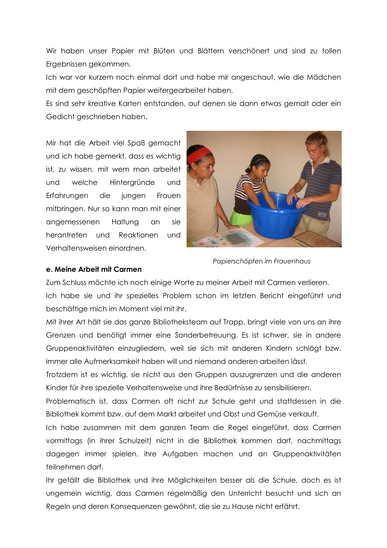Wir haben unser Papier mit Blüten und Blättern verschönert und sind zu tollen Ergebnissen gekommen.

Ich war vor kurzem noch einmal dort und habe mir angeschaut, wie die Mädchen mit dem geschöpften Papier weitergearbeitet haben.

Es sind sehr kreative Karten entstanden, auf denen sie dann etwas gemalt oder ein Gedicht geschrieben haben.

Mir hat die Arbeit viel Spaß gemacht und ich habe gemerkt, dass es wichtig ist, zu wissen, mit wem man arbeitet welche Hintergründe und und Erfahrungen die Frauen jungen mitbringen. Nur so kann man mit einer angemessenen Haltung an sie herantreten und Reaktionen und Verhaltensweisen einordnen.



Papierschöpfen im Frauenhaus

#### e. Meine Arbeit mit Carmen

Zum Schluss möchte ich noch einige Worte zu meiner Arbeit mit Carmen verlieren.

Ich habe sie und ihr spezielles Problem schon im letzten Bericht eingeführt und beschäftige mich im Moment viel mit ihr.

Mit ihrer Art hält sie das ganze Bibliotheksteam auf Trapp, bringt viele von uns an ihre Grenzen und benötigt immer eine Sonderbetreuung. Es ist schwer, sie in andere Gruppenaktivitäten einzugliedern, weil sie sich mit anderen Kindern schlägt bzw. immer alle Aufmerksamkeit haben will und niemand anderen arbeiten lässt.

Trotzdem ist es wichtig, sie nicht aus den Gruppen auszugrenzen und die anderen Kinder für ihre spezielle Verhaltensweise und ihre Bedürfnisse zu sensibilisieren.

Problematisch ist, dass Carmen oft nicht zur Schule geht und stattdessen in die Bibliothek kommt bzw. auf dem Markt arbeitet und Obst und Gemüse verkauft.

Ich habe zusammen mit dem ganzen Team die Regel eingeführt, dass Carmen vormittags (in ihrer Schulzeit) nicht in die Bibliothek kommen darf, nachmittags dagegen immer spielen, ihre Aufgaben machen und an Gruppenaktivitäten teilnehmen darf.

Ihr gefällt die Bibliothek und ihre Möglichkeiten besser als die Schule, doch es ist ungemein wichtig, dass Carmen regelmäßig den Unterricht besucht und sich an Regeln und deren Konsequenzen gewöhnt, die sie zu Hause nicht erfährt.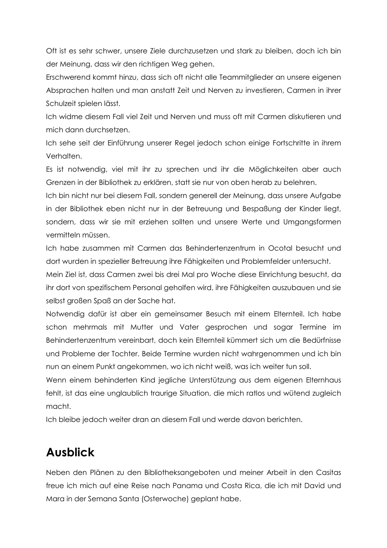Oft ist es sehr schwer, unsere Ziele durchzusetzen und stark zu bleiben, doch ich bin der Meinung, dass wir den richtigen Weg gehen.

Erschwerend kommt hinzu, dass sich oft nicht alle Teammitglieder an unsere eigenen Absprachen halten und man anstatt Zeit und Nerven zu investieren. Carmen in ihrer Schulzeit spielen lässt.

Ich widme diesem Fall viel Zeit und Nerven und muss oft mit Carmen diskutieren und mich dann durchsetzen.

Ich sehe seit der Einführung unserer Regel jedoch schon einige Fortschritte in ihrem Verhalten.

Es ist notwendig, viel mit ihr zu sprechen und ihr die Möglichkeiten aber auch Grenzen in der Bibliothek zu erklären, statt sie nur von oben herab zu belehren.

Ich bin nicht nur bei diesem Fall, sondern generell der Meinung, dass unsere Aufgabe in der Bibliothek eben nicht nur in der Betreuung und Bespaßung der Kinder liegt, sondern, dass wir sie mit erziehen sollten und unsere Werte und Umgangsformen vermitteln müssen.

Ich habe zusammen mit Carmen das Behindertenzentrum in Ocotal besucht und dort wurden in spezieller Betreuung ihre Fähigkeiten und Problemfelder untersucht.

Mein Ziel ist, dass Carmen zwei bis drei Mal pro Woche diese Einrichtung besucht, da ihr dort von spezifischem Personal geholfen wird, ihre Fähigkeiten auszubauen und sie selbst großen Spaß an der Sache hat.

Notwendig dafür ist aber ein gemeinsamer Besuch mit einem Elternteil. Ich habe schon mehrmals mit Mutter und Vater gesprochen und sogar Termine im Behindertenzentrum vereinbart, doch kein Elternteil kümmert sich um die Bedürfnisse und Probleme der Tochter, Beide Termine wurden nicht wahrgenommen und ich bin nun an einem Punkt angekommen, wo ich nicht weiß, was ich weiter tun soll.

Wenn einem behinderten Kind jegliche Unterstützung aus dem eigenen Elternhaus fehlt, ist das eine unglaublich traurige Situation, die mich ratlos und wütend zugleich macht.

Ich bleibe jedoch weiter dran an diesem Fall und werde davon berichten.

# **Ausblick**

Neben den Plänen zu den Bibliotheksangeboten und meiner Arbeit in den Casitas freue ich mich auf eine Reise nach Panama und Costa Rica, die ich mit David und Mara in der Semana Santa (Osterwoche) geplant habe.